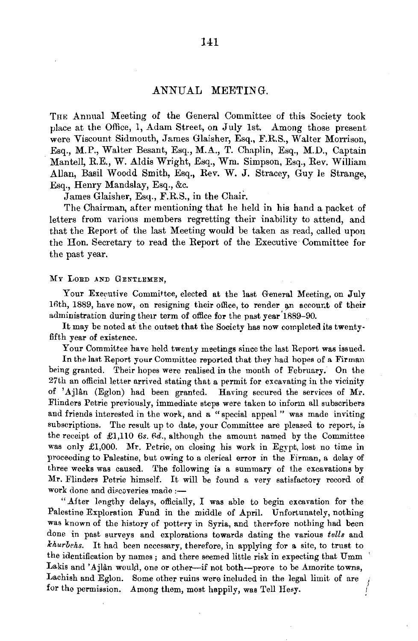## .ANNUAL MEETING.

THE Annual Meeting of the General Committee of this Society took place at the Office, 1, Adam Street, on July lst. Among those present were Viscount Sidmouth, James Glaisher, Esq., F.R.S., Walter Morrison, Esq., M.P., Walter Besant, Esq., M.A., T. Chaplin, Esq., M.D., Captain Mantel!, R.E., W. Aldis Wright, Esq., Wm. Simpson, Esq., Rev. William Allan, Basil Woodd Smith, Esq., Rev. W. J. Stracey, Guy le Strange, Esq., Henry Mandslay, Esq., &c.

James Glaisher, Esq., F.R.S., in the Chair.

The Chairman, after mentioning that he held in his hand a packet of letters from various members regretting their inability to attend, and that the Report of the last Meeting would be taken as read, called upon the Hon. Secretary to read the Report of the Executive Committee for the past year.

MY LORD AND GENTLEMEN,

Your Executive Committee, elected at the last General Meeting, on July 16th, 1889, have now, on resigning their office, to render an account of their administration during theu term of office for the past year' 1889-90.

It may be noted at the outset that the Society has now completed its twentyfifth year of existence.

Your Committee have held twenty meetings since the last Report was issued.

In the last Report your Committee reported that they had hopes of a Firman being granted. Their hopes were realised in the month of February. On the 27th an official letter arrived stating that a permit for excavating in the vicinity of 'Ajlân (Eglon) had been granted. Having secured the services of Mr. Flinders Petrie previously, immediate steps were taken to inform all subscribers and friends interested in the work, and a "special appeal" was made inviting subscriptions. The result up to date, your Committee are pleased to report, is the receipt of  $\pounds$ 1,110  $\pounds$ *s.*  $\pounds$ *d.*, although the amount named by the Committee was only £1,000. Mr. Petrie, on closing his work in Egypt, lost no time in proceeding to Palestine, but owing to a clerical error in the Firman, a delay of three weeks was caused. The following is a summary of the excavations by Mr. Flinders Petrie himself. It will be found a very satisfactory record of work done and discoveries made :--

"After lengthy delays, officially, I was able to begin excavation for the Palestine Exploration Fund in the middle of April. Unfortunately, nothing was known of the history of pottery in Syria, and therefore nothing had been done in past surveys and explorations towards dating the various *tells* and *khurbehs.* It had been necessary, therefore, in applying for a site, to trust to the identification by names; and there seemed little risk in expecting that Umm Lakis and 'Ajlân would, one or other--if not both---prove to be Amorite towns, Lachish and Eglon. Some other ruins were included in the legal limit of are for the permission. Among them, most happily, was Tell Hesy.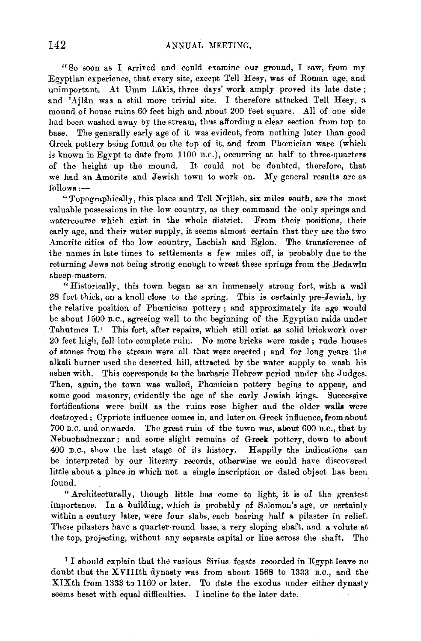"So soon as I arrived and could examine our ground, I saw, from my Egyptian experience, that every site, except Tell Hesy, was of Roman age, and unimportant. At Umm Lakis, three days' work amply proved its late date; and 'Ajlân was a still more trivial site. I therefore attacked Tell Hesy, a mound of house ruins 60 feet high and about 200 feet square. All of one side had been washed away by the stream, thus affording a clear section from top to base. The generally early age of it was evident, from nothing later than good Greek pottery being found on the top of it, and from Phamician ware (which is known in Egypt to date from 1100 B.C.), occurring at half to three-quarters of the height up the mound. It could not be doubted, therefore, that we had an Amorite and Jewish town to work on. My general results are as follows :-

"Topographically, this place and Tell Nejîleh, six miles south, are the most valuable possessions in the low country, as they command the only springs and watercourse which exist in the whole district. From their positions, their early age, and their water supply, it seems almost certain that they are the two Amorite cities of the low country, Lachish and Eglon. The transference of the names in late times to settlements a few miles off, is probably due to the returning Jews not being strong enough to wrest these springs from the Bedawin sheep-masters.

"Historically, this town began as an immensely strong fort, with a wall 28 feet thick, on a knoll close to the spring. This is certainly pre-Jewish, by the relative position of Phœnician pottery; and approximately its age would be about 1500 B.C., agreeing well to the beginning of the Egyptian raids under Tahutmes I.<sup>1</sup> This fort, after repairs, which still exist as solid brickwork over 20 feet high, fell into complete ruin. *No* more bricks were made; rude houses of stones from the stream were all that were erected; and for long years the alkali burner used the deserted hill, attracted by the water supply to wash his ashes with. This corresponds to the barbaric Hebrew period under the Judges. Then, again, the town was walled, Phoenician pottery begins to appear, and some good masonry, evidently the age of the early Jewish kings. Successive fortifications were built as the ruins rose higher and the older walls were destroyed; Cypriote influence comes in, and later on Greek influence, from about 700 B.O. and onwards. The great ruin of the town was, about 600 B. C., that by Nebuchadnezzar; and some slight remains of Greek pottery, down to about 400 B.C., show the last stage of its history. Happily the indications can be interpreted by our literary records, otherwise we could have discovered little about a place in which not a single inscription or dated object has been found.

"Architecturally, though little has come to light, it is of the greatest importance. In a building, which is probably of Solomon's age, or certainly within a century later, were four slabs, each bearing half a pilaster in relief. These pilasters have a quarter-round base, a very sloping shaft, and a volute at the top, projecting, without any separate capital or line across the shaft. The

1 I should explain that the various Sirius feasts recorded in Egypt leave no doubt that the XVIIIth dynasty was from about 1568 to 1333 B.c., and the XIXth from 1333 to 1160 or later. To date the exodus under either dynasty seems beset with equal difficulties. I incline to the later date.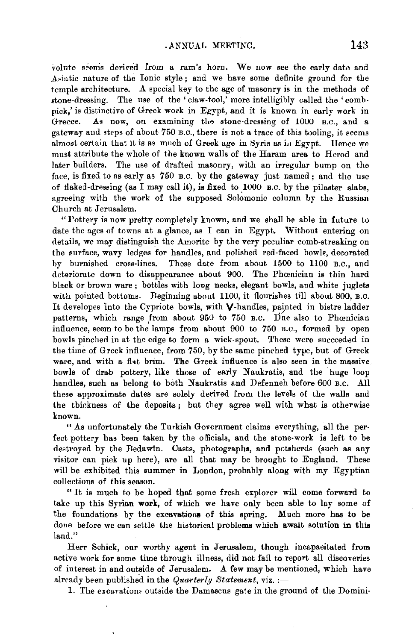volute seems derived from a ram's horn. We now see the early date and Asiatic nature of the Ionic style; and we have some definite ground for the temple architecture. A special key to the age of masonry is in the methods of stone-dressing. The use of the 'claw-tool,' more intelligibly called the 'comb· pick,' is distinctive of Greek work in Egypt, and it is known in early work in Greece. As now, on examining the stone-dressing of 1000 B.C., and a gateway and steps of about 750 B.O., there is not a trace of this tooling, it seems almost certain that it is as much of Greek age in Syria as in Egypt. Hence we must attribute the whole of the known walls of the Haram area to Herod and later builders. The use of drafted masonry, with an irregular bump on the face, is fixed to as early as 750 B.C. by the gateway just named; and the use of flaked-dressing (as I may call it), is fixed to  $1000$  B.C. by the pilaster slabs, agreeing with the work of the supposed Solomonic column by the Russian Church at Jerusalem.

"Pottery is now pretty completely known, and we shall be able in future to date the ages of towns at a glance, as I can in Egypt. Without entering on details, we may distinguish the Amorite by the very peculiar comb-streaking on the surface, wavy ledges for handles, and polished red-faced bowls, decorated by burnished cross-lines. 1'hese date from about 1500 to 1100 B.o., and deteriorate down to disappearance about 900. The Phcenician is thin hard black or brown ware ; bottles with long necks, elegant bowls, and white juglets with pointed bottoms. Beginning about 1100, it flourishes till about 800, B.o. It developes into the Cypriote bowls, with  $V$ -handles, painted in bistre ladder patterns, which range from about 950 to 750 B.C. Due also to Phoenician influence, seem to be the lamps from about 900 to 750 B.C., formed by open bowls pinched in at the edge to form a wick-spout. These were succeeded in the time of Greek influence, from 750, by the same pinched type, but of Greek ware, and with a flat brim. The Greek influence is also seen in the massive. bowls of drab pottery, like those of early Naukratis, and the huge loop handles, such as belong to both Naukratis and Defenneh before 600 B.C. All these approximate dates are solely derived from the levels of the walls and the thickness of the deposits ; hut they agree well with what is otherwise known.

"As unfortunately the Turkish Government claims everything, all the perfect pottery has been taken by the officials, and the stone-work is left to be destroyed by the Bedawin. Casts, photographs, and potsherds (such as any visitor can pick up here), are all that may be brought to England. These will be exhibited this summer in London, probably along with my Egyptian collections of this season.

" It is much to be hoped that some fresh explorer will come forward to take up this Syrian **work,** of which we have only been able to lay some of the foundations by the excavations of this spring. Much more has to be done before we can settle the historical problems which await solution in this land."

Herr Schick, our worthy agent in Jerusalem, though incapacitated from active work for some time through illness, did not fail to report all discoveries of interest in and outside of Jerusalem. A few may be mentioned, which have already been published in the *Quarterly Statement*, viz. :-

1. The excavations outside the Damascus gate in the ground of the Domini-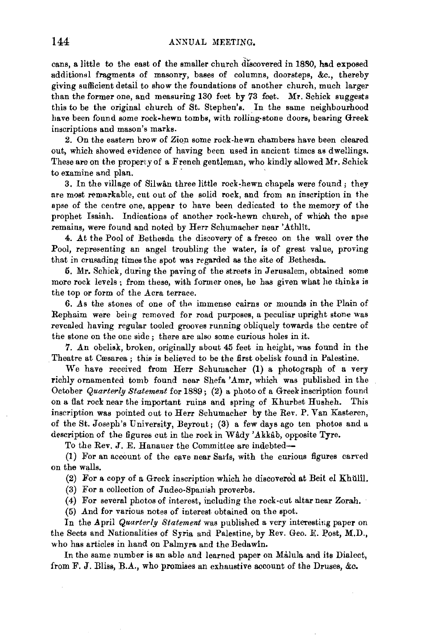cans, a little to the east of the smaller church discovered in 1880, had exposed additional fragments of masonry, bases of columns, doorsteps, &c., thereby giving sufficient detail to show the foundations of another church, much larger than the former one, and measuring 130 feet by 73 feet. Mr. Schick suggests this to be the original church of St. Stephen's. In the same neighbourhood have been found some rock-hewn tombs, with rolling-stone doors, bearing Greek inscriptions and mason's marks.

2. On the eastern brow of Zion some rock-hewn chambers have been cleared out, which showed evidence of having been used in ancient times as dwellings. These are on the property of a French gentleman, who kindly allowed Mr. Schick to examine and plan.

3. In the village of Silwân three little rock-hewn chapels were found; they are most remarkable, cut out of the solid rock, and from an inscription in the apse of the centre one, appear to have been dedicated to the memory of the prophet Isaiah. Indications of another rock-hewn church, of which the apse remains, were found and noted by Herr Schumacher near 'Athllt.

4. At the Pool of Bethesda the discovery of a fresco on the wall over the Pool, representing an angel troubling the water, is of great value, proving that in crusading times the spot was regarded as the site of Bethesda.

5. Mr. Schick, during the paving of the streets in Jerusalem, obtained some more rock levels; from these, with former ones, he has given what he thinks is the top or form of the Acra terrace.

6. As the stones of one of the immense cairns or mounds in the Plain of Rephaim were being removed for road purposes, a peculiar upright stone was revealed having regular tooled grooves running obliquely towards the centre of the stone on the one side ; there are also some curious holes in it.

7. An obelisk, broken, originally about 45 feet in height, was found in the Theatre at Cæsarea ; this is believed to be the first obelisk found in Palestine.

We have received from Herr Schumacher  $(1)$  a photograph of a very richly ornamented tomb found near Shefa 'Amr, which was published in the October *Quarterly Statement* for 1889; (2) a photo of a Greek inscription found on a flat rock near the important ruins and spring of Khurbet Husheh. This inscription was pointed out to Herr Schumacher by the Rev. P. Van Kasteren, of the St. Joseph's University, Beyrout; (3) a few days ago ten photos and a description of the figures cut in the rock in Wady 'Akkab, opposite Tyre.

To the Rev. J. E. Hanauer the Committee are indebted-

(1) For an account of the cave near Saris, with the curious figures carved on the walls.

(2) For a copy of a Greek inscription which he discovered at Beit el Khulil.

(3) For a collection of Judeo-Spanish proverbs.

(4) For several photos of interest, including the rock-cut altar near Zorah.

(5) And for various notes of interest obtained on the spot.

In the April *Quarterly Statement* was published a very interesting paper on the Sects and Nationalities of Syria and Palestine, by Rev. Geo. E. Post, M.D., who has articles in hand on Palmyra and the Bedawin.

In the same number is an able and learned paper on Malula and its Dialect, from F. J. Bliss, B.A., who promises an exhaustive account of the Druses, &c.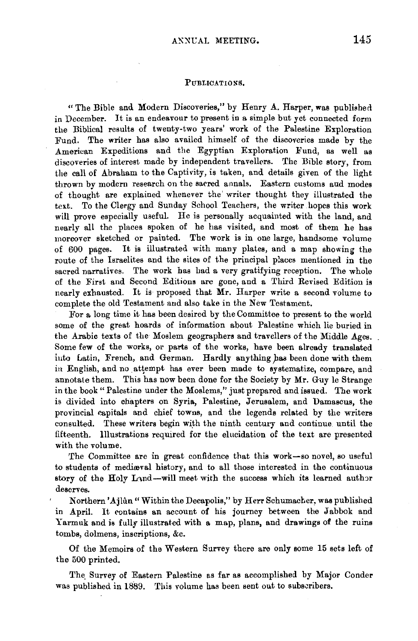## PUBLICATIONS.

"The Bible and Modern Discoveries," by Henry A. Harper, was published in December. It is an endeavour to present in a simple but yet connected form the Biblical results of twenty-two years' work of the Palestine Exploration Fund. The writer has also availed himself of the discoveries made by the American Expeditions and the Egyptian Exploration Fund, as well as discoveries of interest made by independent travellers. The Bible story, from the call of Ahraham to the Captivity, is taken, and details given of the light thrown by modern research on the sarred annals. Eastern customs and modes of thought are explained whenever the' writer thought they illustrated the text. To the Clergy and Sunday School Teachers, the writer hopes this work will prove especially useful. He is personally acquainted with the land, and nearly all the places spoken of he has visited, and most of them he has moreover sketched or painted. The work is in one large, handsome volume of 600 pages. It is illustrated with many plates, and a map showing the route of the Israelites and the sites of the principal p!aces mentioned in the sacred narratives. The work has had a very gratifying reception. The whole of the First and Second Editions are gone, and a Third Revised Edition is nearly exhausted. It is proposed that Mr. Harper write a second volume to complete the old Testament and also take in the New Testament.

For a long time it has been desired by the Committee to present to the world some of the great hoards of information about Palestine which lie buried in the Arabic texts of the Moslem geographers and travellers of the Middle Ages. Some few of the works, or parts of the works, have been already translated iuto Latin, French, and German. Hardly anything has been done with them in English, and no attempt has ever been made to systematize, compare, and annotate them. This has now been done for the Society by Mr. Guy le Strange in the book "Palestine under the Moslems," just prepared and issued. The work is divided into chapters on Syria, Palestine, Jerusalem, and Damascus, the provincial capitals and chief towns, and the legends related by the writers consulted. These writers begin with the ninth century and continue until the fifteenth. Illustrations required for the elucidation of the text are presented with the volume.

The Committee are in great confidence that this work-so novel, so useful to students of mediwval history, and to all those interested in the continuous story of the Holy Land-will meet with the success which its learned author deserves.

Northern' Ajlûn "Within the Decapolis," by Herr Schumacher, was published in April. It contains an account of his journey between the Jabbok and Y armuk and is fully illustrated with a map, plans, and drawings of the ruins tombs, dolmens, inscriptions, &c.

Of the Memoirs of the Western Survey there are only some 15 sets left of the 500 printed.

The Survey of Eastern Palestine as far as accomplished by Major Conder was published in 1889. This volume has been sent out to subscribers.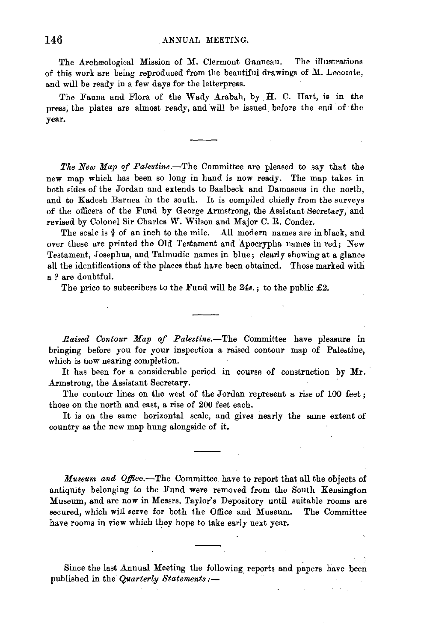The Archeological Mission of M. Clermont Ganneau. The illustrations of this work are being reproduced from the beautiful drawings of M. Lecomte, and will be ready in a few days for the letterpress.

The Fauna and Flora of the Wady Arabah, by **H.** C. Hart, is in the press, the plates are almost ready, and will be issued. before the end of the year.

*The New Map of Palestine.-The* Committee are pleased to say that the new map which has been so long in hand is now ready. The map takes in both sides of the Jordan and extends to Baalbeck and Damascus in the north, and to Kadesh Barnea in the south. It is compiled chiefly from the surveys of the officers of the Fund by G eorge Armstrong, the Assistant Secretary, and revised by Colonel Sir Charles W. Wilson and Major C. R. Conder.

The scale is  $\frac{3}{8}$  of an inch to the mile. All modern names are in black, and over these are printed the Old Testament and 'Apocrypha names in red; New Testament, Josephus, and Talmudic names in blue; dearly showing at a glance all the identifications of the places that have been obtained. Those marked with a *?* are doubtful.

The price to subscribers to the Fund will be  $24s$ ,; to the public  $£2$ .

*Raised Contour Map of Palestine.-The* Committee have pleasure in bringing before you for your inspection a raised contour map of Palestine, which is now nearing completion.

It has been for a considerable period in course of construction by Mr. Armstrong, the Assistant Secretary.

The contour lines on the west of the Jordan represent a rise of 100 feet; those on the north and east, a rise of 200 feet each.

It is on the same horizontal scale, and gives nearly the same extent of country as the new map hung alongside of it.

*Museum and Office.-The* Committee. have to report that all the objects of antiquity belonging to the Fund were removed from the South Kensington Museum, and are now in Messrs. Taylor's Depository until suitable rooms are secured, which will serve for both the Office and Museum. The Committee have rooms in view which they hope to take early next year.

Since the last Annual Meeting the following reports and papers have been published in the *Quarterly Statements:-*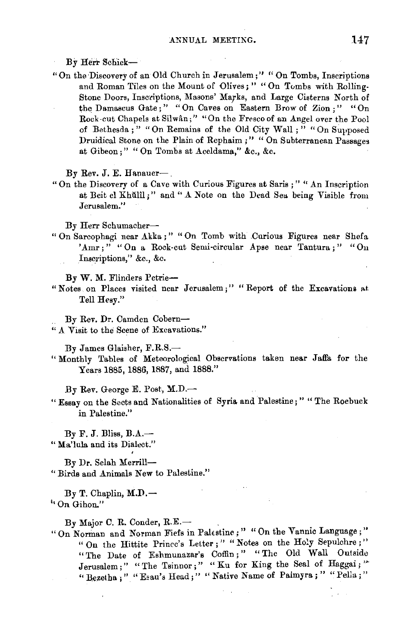By Herr Schick-

" On the Discovery of an Old Church in Jerusalem;" " On Tombs, Inscriptions and Roman Tiles on the Mount of Olives; " "On Tombs with Rolling-Stone Doors, Inscriptions, Masons' Marks, and Large Cisterns North of the Damascus Gate;" "On Caves on Eastern Brow of Zion:" "On Rock-cut Chapels at Silwan;" "On the Fresco of an Angel over the Pool of Bethesda;" "On Remains of the Old City Wall;" "On Supposed Druidical Stone on the Plain of Rephaim;" "On Subterranean Passages at Gibeon;" " On Tombs at Aceldama," &c., &c.

By Rev. J. E. Hanauer-,

" On the Discovery of a Cave with Curious Figures at Saris ; " " An Inscription at Beit el Khülîl;" and " A Note on the Dead Seu being Visible from Jerusalem."

By Herr Schumacher-

" On Sarcophagi near Akka ; " " On Tomb with .Curious Figures near Shefa 'Amr;" "On a Rock-cut Semi-circular Apse near Tantura;" "On Inscriptions," &c., &c.

By W. M. Flinders Petrie-

" Notes on Places visited near Jerusalem;" "Report of the Excavations at Tell Hesy."

By Rev. Dr. Camden Cobern- " A Visit to the Scene of Excavations."

By James Glaisher, F.R.S.-

"Monthly Tables of Meteorological Observations taken near Jaffa for the Years 1885, 1886, 1887, and 1888."

By Rev. George E. Post, M.D.-

" Essay on the Sects and Nationalities of Syria and Palestine; " "The Roebuck in Palestine."

 $Bv F. J. B$ liss,  $B.A.$ — " Ma'lula and its Dialect."

By Dr. Selah Merrill- " Birds and Animals New to Palestine."

 $By T. Chaplin, M.D. \rightarrow$ <sup>t</sup> On Gihon."

 $By Major C. R. Conder, R.E. \t-$ 

"On Norman and Norman Fiefs in Palestine;" "On the Vannic Language;" "On the Hittite Prince's Letter;" "Notes on the Holy Sepulchre;" "The Date of Eshmunazar's Coffin;" "The Old Wall Outside Jerusalem;" "The Tsinnor;" "Ku for King the Seal of Haggai;" "Bezetha;" "Esau's Head;" "Native Name of Paimyra;" "Pella;"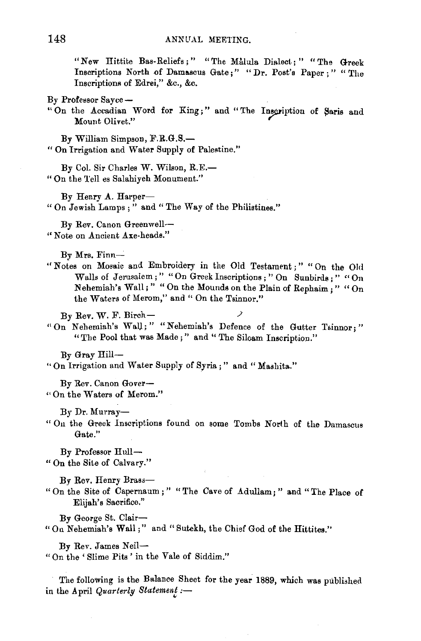"New Hittite Bas-Reliefs;" "The Malula Dialect;" "The Greek Inscriptions North of Damascus Gate;" "Dr. Post's Paper;" "The Inscriptions of Edrei," &c., &c.

- By Professor Sayee-
- "On the Accadian Word for King;" and "The Inscription of Saris and Mount Olivet."

By William Simpson, F.R.G.S.- " On Irrigation and Water Supply of Palestine."

By Col. Sir Charles W. Wilson, R.E.- " On the Tell es Snlahiyeh Monument."

By Henry A. Harper-" On Jewish Lamps;" and" The Way of the Philistines."

By Rev. Canon Greenwell- " Note on Ancient Axe-heads."

By Mrs. Finn-

" Notes on Mosaic and Embroidery in the Old Testament ; " " On the Old Walls of Jerusalem;" "On Greek Inscriptions; "On Sunbirds;" "On Nehemiah's Wall;" "On the Mounds on the Plain of Rephaim;" "On the Waters of Merom," and " On the Tsinnor."

 $By Rev. W. F. Birch-$ "On N ehemiah's WaU; " "N ehemiah's Defence of the Gutter Tsinnor; " "The Pool that was Made;" and "The Siloam Inscription."

By Gray Hill-

" On Irrigation and Water Supply of Syria;" and "Mashita."

By Rev. Canon Gover- " On the Waters of Merom."

By Dr. Murray-

" Ou the Greek Inscriptions found on some Tombs North of the Damascus Gate."

By Professor Hull-" On the Site of Calvary."

By Rev. Henry Brass-"On the Site of Capernaum;" "The Cave of Adullam;" and "The Place of Elijah's Sacrifice."

By George St. Clair- " Ou Nehemiah's Wall;" and "Sutekh, the Chief God of the Hittites."

By Rev. James Neil-" On the ' Slime Pits ' in the Yale of Siddim."

The following is the Balance Sheet for the year 1889, which was published in the April *Quarterly Statement :-*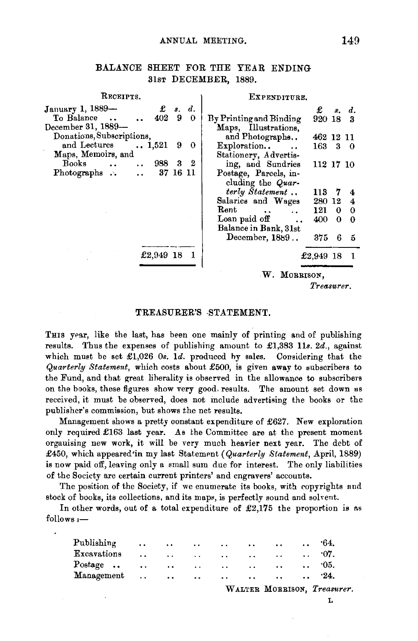## BALANCE SHEET FOR THE YEAR ENDING 31sT DECEMBER, 1889.

| Receipts.                           |   |    | EXPENDITURE.                 |           |    |            |  |  |  |  |
|-------------------------------------|---|----|------------------------------|-----------|----|------------|--|--|--|--|
| $\pounds$ $s$ .<br>January 1, 1889- |   | d. |                              | £         | 8. | d.         |  |  |  |  |
| To Balance<br>402                   | 9 | 0  | By Printing and Binding      | 920 18    |    | з          |  |  |  |  |
| December 31, 1889-                  |   |    | Maps, Illustrations,         |           |    |            |  |  |  |  |
| Donations, Subscriptions.           |   |    | and Photographs              | 462 12 11 |    |            |  |  |  |  |
| and Lectures<br>$\ldots 1,521$      | 9 | 0  | Exploration                  | 163       |    | $3\quad 0$ |  |  |  |  |
| Maps, Memoirs, and                  |   |    | Stationery, Advertis-        |           |    |            |  |  |  |  |
| <b>Books</b><br>988 3 2             |   |    | ing, and Sundries            | 112 17 10 |    |            |  |  |  |  |
| 37 16 11<br>Photographs $\ddots$    |   |    | Postage, Parcels, in-        |           |    |            |  |  |  |  |
|                                     |   |    | cluding the Quar-            |           |    |            |  |  |  |  |
|                                     |   |    | terly Statement              | 113       |    |            |  |  |  |  |
|                                     |   |    | Salaries and Wages           | 280       | 12 | 4          |  |  |  |  |
|                                     |   |    | Rent<br>$\ddot{\phantom{0}}$ | 121       | 0  | $\Omega$   |  |  |  |  |
|                                     |   |    | Loan paid off                | 400       | 0  | $\bf{0}$   |  |  |  |  |
|                                     |   |    | Balance in Bank, 31st        |           |    |            |  |  |  |  |
|                                     |   |    | December, 1889               | 375       | 6  | 5          |  |  |  |  |
|                                     |   |    |                              |           |    |            |  |  |  |  |
| £2,949 18                           |   |    |                              | £2,949 18 |    |            |  |  |  |  |
| W. MORRISON,                        |   |    |                              |           |    |            |  |  |  |  |
|                                     |   |    | Treasurer.                   |           |    |            |  |  |  |  |

## TREASURER'S -STATEMENT.

THis year, like the last, has been one mainly of printing and of publishing results. Thus the expenses of publishing amount to £1,383 lls. *2d.,* against which must be set £1,026 0s. 1d. produced by sales. Considering that the *Quarterly Statement,* which costs about £500, is given away to •ubscribers to the Fund, and that great liberality is observed in the allowance to subscribers on the books, these figures show very good. results. The amount set down as received, it must be observed, does not include advertising the books or the publisher's commission, but shows the net results.

Management shows a pretty oonstant expenditure of £627. New exploration only required £163 last year. As the Committee are at the present moment organising new work, it will be very much heavier next year. The debt of £450, which appeared'in my last Statement ( *Quarterly Statement*, April, 1889) is now paid off, leaving only a small sum due for interest. The only liabilities of the Society are certain current printers' and engravers' accounts.

The position of the Society, if we enumerate its books, with copyrights and stock of books, its collections, and its maps, is perfectly sound and solvent.

In other words, out of a total expenditure of  $\pounds2,175$  the proportion is as  $follows :=$ 

|                  |                      |                          |                                       |                                                                                                                 |                   |               | WALTER MORRISON, Treasurer. |
|------------------|----------------------|--------------------------|---------------------------------------|-----------------------------------------------------------------------------------------------------------------|-------------------|---------------|-----------------------------|
| Management       |                      |                          |                                       |                                                                                                                 |                   |               | $\ldots$ 24.                |
| Postage $\ldots$ | $\ddot{\phantom{a}}$ | <b>Contract Contract</b> |                                       |                                                                                                                 | $\cdots$ 05.      |               |                             |
| Excavations      | $\ddot{\phantom{a}}$ |                          |                                       | the contract of the contract of the contract of the contract of the contract of the contract of the contract of | <b>Contractor</b> | $\sim$ $\sim$ | $\cdot$ 07.                 |
| Publishing       | $\sim$ $\sim$        |                          | contract and contract the contract of |                                                                                                                 |                   | $\sim$        | -64.                        |

L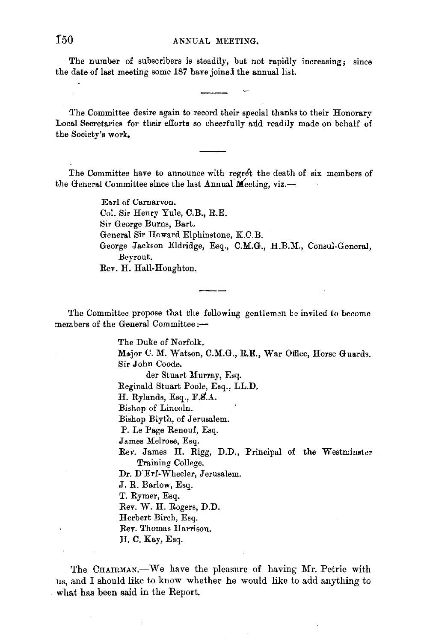The number of subscribers is steadily, but not rapidly increasing; since the date of last meeting some 187 have joined the annual list.

The Committee desire again to record their special thanks to their Honorary Local Secretaries for their efforts so cheerfully and readily made on behalf of the Society's work,

The Committee have to announce with regret the death of six members of the General Committee since the last Annual Meeting, viz.-

> Earl of Carnarvon. Col. Sir Henry Yule, C. B., R.E. Sir George Burns, Bart. General Sir Howard Elphimtone, K.C.B. George Jackson Eldridge, Esq., C.M.G., H.B.M., Consul-General, Beyrout. Rev. H. Hall-Houghton.

The Committee propose that the following gentleman be invited to become members of the General Committee:-

> The Duke of Norfolk. Major U. M. Watson, C.M.G., R.E., War Office, Horse Guards. Sir John Coode. der Stuart Murray, Esq. Reginald Stuart Poole, Esq., LL.D. H. Rylands, Esq., F.S.A. Bishop of Lincoln. Bishop Blyth, of Jerusalem. P. Le Page Renouf, Esq. James Melrose, Esq. Rev. James H. Rigg, D.D., Principal of the Westminster Training College. Dr. D'Erf-Wheeler, Jerusalem. • T. R. Barlow, Esq. T. Rymer, Esq. Rev. W. H. Rogers, D.D. Herbert Birch, Esq. Rev. Thomas Harrison. H. C. Kay, Esq.

The CHAIRMAN.-We have the pleasure of having Mr. Petrie with us, and I should like to know whether he would like to add anything to what has been said in the Report.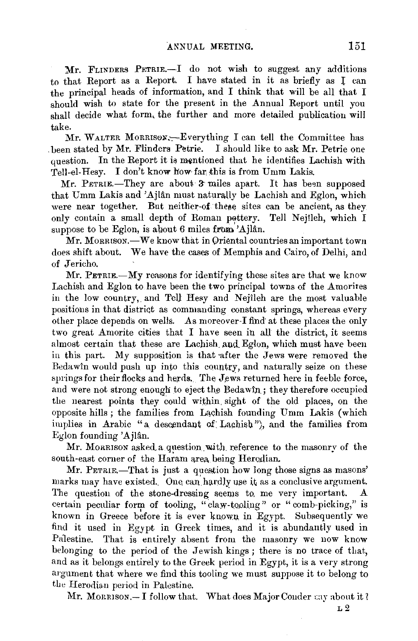Mr. FLINDERS PETRIE.-I do not wish to suggest any additions to that Report as a Report. I have stated in it as briefly as l can the principal heads of information, and I think that will be all that I should wish to state for the present in the Annual Report until you shall decide what form, the further and more detailed publication will take.

Mr. WALTER MORRISON;--Everything I can tell the Committee has . been stated by Mr. Flinders Petrie. I should like to ask Mr. Petrie one question. In the Report it is mentioned that he identifies Lachish with Tell-el-Hesy. I don't know how-far, this is from Umm Lakis.

 $Mr.$  PETRIE.—They are about 3 miles apart. It has been supposed that Umm Lakis and 'Ajlân must naturally be Lachish and Eglon, which were near together. But neither-of these sites can be ancient, as they only contain a small depth of Roman pottery. Tell Nejîleh, which I suppose to be Eglon, is about 6 miles from 'Ajlân.

Mr. MORRISON.-We know that in Oriental countries an important town does shift about. We have the cases of Memphis and Cairo, of Delhi, and of Jericho.

Mr. PETRIE.-My reasons for identifying these sites are that we know Lachish and Eglon to have been the two principal towns of the Amorites in the low country, and Tell Hesy and Nejlleh are the most valuable positions in that district as commanding constant springs, whereas every other place depends on wells. As moreover-I find at these places the only two great Amorite cities that I have seen in all the district, it seems almost certain that these are Lachish and Eglon, which must have been in this part. My supposition is that after the Jews were removed the Bedawin would push up into this country, and naturally seize on these springs for their flocks and herds. The Jews returned here in feeble force, and were not strong enough to eject the Bedawin.; they therefore occupied the nearest points they could within, sight of the old places, on the opposite hills; the families from Lachish founding Umm Lakis (which implies in Arabic "a descendant of Lachish"), and the families from  $E<sub>g</sub>$ lon founding 'Ajlân.

Mr. MORRISON asked a question with reference to the masonry of the south-east corner of the Haram area being Herodian.

Mr. PETRLE.-That is just a question how long those signs as masons' marks may have existed. One can hardly use it as a conclusive argument. The question of the stone-dressing seems to. me very important. A certain peculiar form of tooling, "claw-tooling" or "comb-picking," is known in Greece before it is ever known in Egypt. Subsequently we find it used in Egypt in Greek times, and it is abundantly used in Palestine. That is entirely absent from the masonry we now know belonging to the period of the Jewish kings ; there is no trace of that, and as it belongs entirely to the Greek period in Egypt, it is a very strong argument that where we find this tooling we must suppose it to belong to the Herodian period in Palestine.

Mr. MORRISON. - I follow that. What does Major Conder cay about it?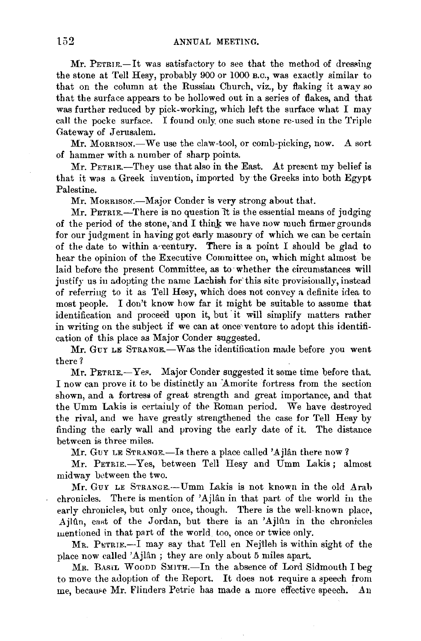Mr. PETRIE.-It was satisfactory to see that the method of dressing the stone at Tell Hesy, probably 900 or 1000 B.o., was exactly similar to that on the column at the Russiau Church, viz., by flaking it away so that the surface appears to be hollowed out in a series of flakes, and that was further reduced by pick-working, which left the surface what I may call the pocke surface. I found only one such stone re-used in the Triple Gateway of Jerusalem.

Mr. MORRISON.-We use the claw-tool, or comb-picking, now. A sort of hammer with a number of sharp points.

Mr. PETRIE.-They use that also in the East. At present my belief is that it was a Greek invention, imported by the Greeks into both Egypt Palestine.

Mr. Morrison.-Major Conder is very strong about that.

Mr. PETRIE.-There is no question it is the essential means of judging of the period of the stone, and I think we have now much firmer grounds for our judgment in having got early masonry of which we can be certain of the date to within a century. There is a point I should be glad to hear the opinion of the Executive Committee on, which might almost be laid before the present Committee, as to· whether the circumstances will justify us in adopting the name Lachish for' this site provisionally, instead of referring to it as Tell Hesy, which does not convey a definite idea to most people. I don't know bow far it might be suitable to assume that identification and proceed upon it, but it will simplify matters rather in writing on the subject if we can at once venture to adopt this identification of this place as Major Conder suggested.

Mr. GUY LE STRANGE.-Was the identification made before you went there?

Mr. PETRIE.-Yes. Major Conder suggested it some time before that. I now can prove it to be distinctly an Amorite fortress from the section shown, and a fortress of great strength and great importance, and that the Umm Lakis is certainly of the Roman period. We have destroyed the rival, and we have greatly strengthened the case for Tell Hesy by finding the early wall and proving the early date of it. The distance between is three miles.

Mr. Guy LE STRANGE.—Is there a place called 'Ajlân there now?

Mr. PETRIE.-Yes, between Tell Hesy and Umm Lakis; almost midway between the two.

Mr. GUY LE STRANGE.--- Umm Lakis is not known in the old Arab chronicles. There is mention of 'Ajlân in that part of the world in the early chronicles, but only once, though. There is the well-known place, Ajlûn, east of the Jordan, but there is an 'Ajlûn in the chronicles mentioned in that part of the world too, once or twice only.

 $M_R$ . PETRIE.-I may say that Tell en Nejileh is within sight of the place now called 'Ajlân ; they are only about 5 miles apart.

Mr. BASIL WOODD SMITH.-In the absence of Lord Sidmouth I beg to move the adoption of the Report. It does not require a speech from me, because Mr. Flinders Petrie has made a more effective speech. An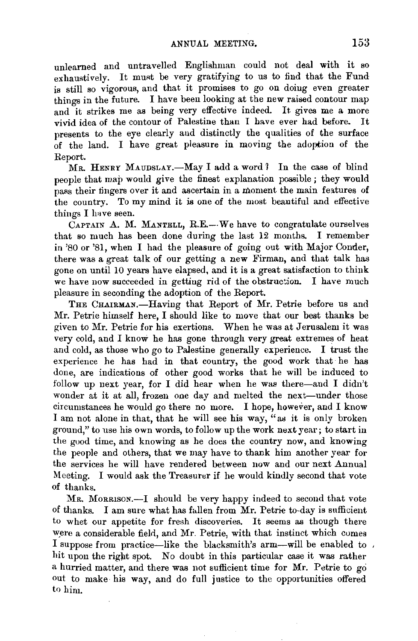unlearned and untravelled Englishman could not deal with it so exhaustively. It must be very gratifying to us to find that the Fund is still so vigorous, and that it promises to go on doing even greater things in the future. I have been looking at the new raised contour map and it strikes me as being very effective indeed. It gives me a more vivid idea of the contour of Palestine than I have ever had before. It presents to the eye clearly and distinctly the qualities of the surface of the land. I have great pieasure in moving the adoption of the Report.

MR. HENRY MAUDSLAY.-May I add a word? In the case of blind people that map would give the finest explanation possible ; they would pass their tingers over it and ascertain in a moment the main features of the country. To my mind it is one of the most beautiful and effective things I have seen.

CAPTAIN A. M. MANTELL, R.E.--We have to congratulate ourselves that so much has been done during the last 12 months. I remember in 'SO or '81, when I had the pleasure of going out with Major Conder, there was a great talk of our getting a new Firman, and that talk has gone on until 10 years have elapsed, and it is a great satisfaction to think we have now succeeded in getting rid of the obstruction. I have much pleasure in seconding the adoption of the Report.

THE CHAIRMAN.-Having that Report of Mr. Petrie before us and Mr. Petrie himself here, I should like to move that our best thanks be given to Mr. Petrie for his exertions. When he was at Jerusalem it was very cold, and I know he has gone through very great extremes of heat and cold, as those who go to Palestine generally experience. I trust the experience he has had in that country, the good work that he has done, are indications of other good works that he will be induced to follow up next year, for I did hear when he was there-and I didn't wonder at it at all, frozen one day and melted the next-under those circumstances he would go there no more. I hope, however, and I know I am not alone in that, that he will see his way, "as it is only broken ground," to use his own words, to follow up the work next year; to start in the good time, and knowing as he does the country now, and knowing the people and others, that we may have to thank him another year for the services he will have rendered between now and our next Annual Meeting. I would ask the Treasurer if he would kindly second that vote of thanks.

Mr. Morrison.-I should be very happy indeed to second that vote of thanks. I am sure what has fallen from Mr. Petrie to-day is sufficient to whet our appetite for fresh discoveries. It seems as though there were a considerable field, and Mr. Petrie, with that instinct which comes I suppose from practice-like the blacksmith's arm-will be enabled to , hit upon the right spot. No doubt in this particular case it was rather a hurried matter, and there was not sufficient time for Mr. Petrie to go out to make his way, and do full justice to the opportunities offered t0 him.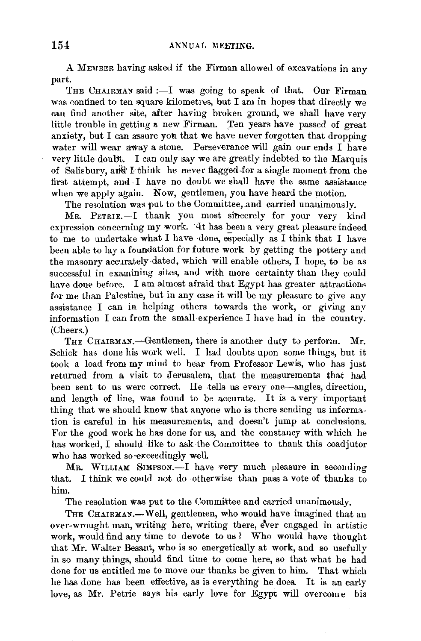A MEMBER having asked if the Firman allowed of excavations in any part.

THE CHAIRMAN said :- I was going to speak of that. Our Firman was confined to ten square kilometres, but I am in hopes that directly we eau find another site, after having broken ground, we shall have very little trouble in getting a new Firman. Ten years have passed of great anxiety, but I can assure you that we have never forgotten that dropping water will wear away a stone. Perseverance will gain our ends I have very little doubt. I can only say we are greatly indebted to the Marquis of Salisbury, and I think he never flagged-for a single moment from the first attempt, and, I have no doubt we shall have the same assistance when we apply again. Now, gentlemen, you have heard the motion.

The resolution was put to the Committee, and carried unanimously.

MR. PETRIE.-I thank you most sincerely for your very kind expression concerning my work. It has been a very great pleasure indeed to me to undertake what I have done, especially as I think that I have been able to lay a foundation for future work by getting the pottery and the masonry accurately dated, which will enable others, I hope, to be as successful in examining sites, and with more certainty than they could have done before. I am almost afraid that Egypt has greater attractions for me than Palestine, but in any case it will be my pleasure to give any assistance I can in helping others towards the work, or giving any information I can from the small experience I have had in the country. (Cheers.)

THE CHAIRMAN.-Gentlemen, there is another duty to perform. Mr. Schick has done his work well. I had doubts upon some things, but it took a load from my mind to hear from Professor Lewis, who has just returned from a visit to Jerusalem, that the measurements that had been sent to us were correct. He tells us every one-angles, direction, and length of line, was found to be accurate. It is a very important thing that we should know that anyone who is there sending us information is careful in his measurements, and doesn't jump at conclusions. For the good work he has done for us, and the constancy with which he has worked, I should like to ask the Committee to thank this coadjutor who has worked so exceedingly well.

MR. WrLLIAM SrMPSON.-I have very much pleasure in seconding that. I think we could not do otherwise than pass a vote of thanks to him.

The resolution was put to the Committee and carried unanimously.

THE CHAIRMAN.-Well, gentlemen, who would have imagined that an over-wrought man, writing here, writing there, ever engaged in artistic work, would find any time to devote to us? Who would have thought that Mr. Walter Besant, who is so energetically at work, and so usefully in so many things, should find time to come here, so that what he had done for us entitled me to move our thanks be given to him. That which he has done has been effective, as is everything he does. It is an early love, as Mr. Petrie says his early love for Egypt will overcome bis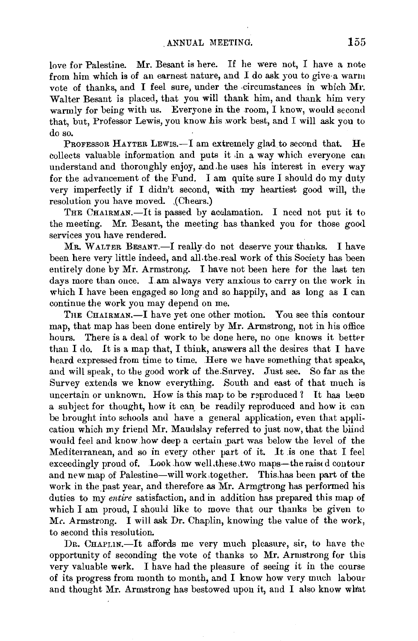love for Palestine. Mr. Besant is here. If he were not, I have a note from him which is of an earnest nature, and I do ask you to give·a warm vote of thanks, and I feel sure, under the circumstances in which Mr. Walter Besant is placed, that you will thank him, and thank him very warmly for being with us. Everyone in the room, I know, would second that, but, Professor Lewis, you know his work best, and I will ask you to do so.

PROFESSOR HAYTER LEWIS.—I am extremely glad to second that. He collects valuable information and puts it ,in a way which everyone can understand and thoroughly enjoy, and he uses his interest in every way for the advancement of the Fund. I am quite sure I should do my duty very imperfectly if I didn't second, with my heartiest good will, the resolution you have moved. (Cheers.)

THE CHAIRMAN.-It is passed by acclamation. I need not put it to the meeting. Mr. Besant, the meeting has thanked you for those good services you have rendered.

MR. WALTER BESANT.-I really do not deserve your thanks. I have been here very little indeed, and all.the.real work of this Society has been entirely done by Mr. Armstrong. I have not been here for the last ten days more than once. I.am always very anxious to carry on the work in which I have been engaged so long and so happily, and as long as I can continue the work you may depend on me.

THE CHAIRMAN.-I have yet one other motion. You see this contour map, that map has been done entirely by Mr. Armstrong, not in his office hours. There is a deal of work to be done here, no one knows it better than I do. It is a map that, I think, answers all the desires that I have heard expressed from time to time. Here we have something that speaks, and will speak, to the good work of the.Survey. Just see. So far as the Survey extends we know everything. South and east of that much is uncertain or unknown. How is this map to be reproduced  $\ell$  It has been a subject for thought, how it can, be readily reproduced and how it can be brought into schools aml have a general application, even that application which my friend Mr. Maudslay referred to just now, that the blind would feel and know how deep a certain part was below the level of the Mediterranean, and so in every other part of it. It is one that I feel exceedingly proud of. Look how well these two maps-the raised contour and new map of Palestine-will work together. This has been part of the work in the past year, and therefore as Mr. Armgtrong has performed his duties to my *entire* satisfaction, and in addition has prepared this map of which I am proud, I should like to move that our thanks be given to *Mc. Armstrong.* I will ask Dr. Chaplin, knowing the value of the work, to second this resolution.

Dr. CHAPLIN.-It affords me very much pleasure, sir, to have the opportunity of seconding the vote of thanks to Mr. Arrnstrong for this very valuable work. I have had the pleasure of seeing it in the course of its progress from month to month, and I know how very much labour and thought Mr. Armstrong has bestowed upon it, and I also know what